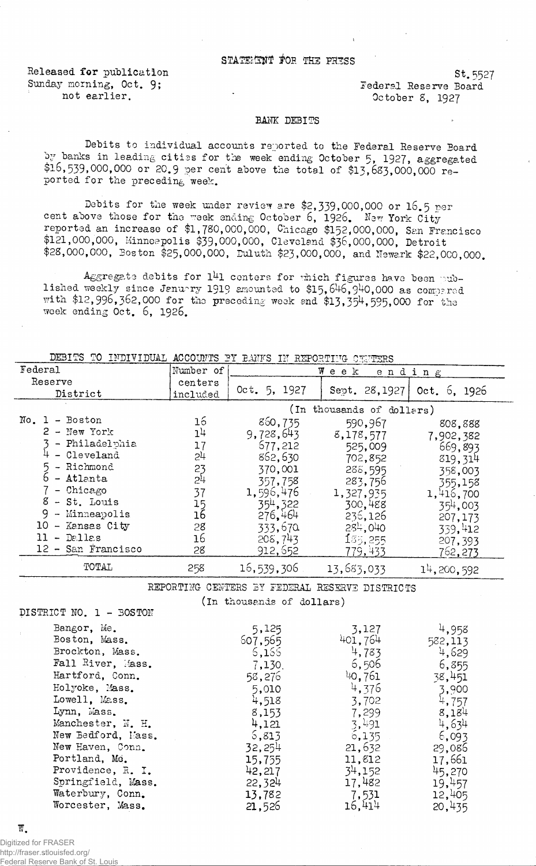## STATEMANT FOR THE PHESS

Released for publication St. 5527<br>
Sunday morning, Oct. 9: Sunday Reserve Roard

Fundation of the Sunday of the Sunday of the Sunday of the Sunday of the Sunday of the Sunday of the Sunday of the Sunday of the Sunday of the Sunday of the Sunday of the Sunday of the Sunday of the Sunday of the Sunday of 0ctober 8, 1927

## BANK DEBITS

Debits to individual accounts reported to the Federal Reserve Board by banks in leading cities for the week ending October 5, 1927, aggregated  $$16,539,000,000$  or 20.9 per cent above the total of  $$13,683,000,000$  reported for the preceding week.

Debits for the week under review are \$2,339,000,000 or  $16.5$  per cent above those for the week ending October 6, 1926. New York Cityreported an increase of \$1,780,000,000, Chicago \$152,000,000, San Francisco \$121,000,000, Minneapolis \$39,000,000, Cleveland \$36,000,000, Detroit \$28,000,000, Boston \$25,000,000, Duluth \$23,000,000, and Newark \$22,000,000.

Aggregate debits for  $141$  centers for thich figures have been published weekly since January 1919 amounted to \$15,646,940,000 as compared with  $*$ 12,995,352,000 for the preceding week and  $\$13,354,595,000$  for the week ending Oct. 6, 1926.

| DEBITS TO<br>ACCOUNTS BY BANKS<br>INDIVIDUAL<br>REPORTILG<br>- IFF<br>CEPTERS |                           |                       |               |              |
|-------------------------------------------------------------------------------|---------------------------|-----------------------|---------------|--------------|
| Federal                                                                       | Number of                 | W<br>e e k<br>ending  |               |              |
| Reserve                                                                       | centers                   | Oct. $5, 1927$        | Sept. 28,1927 | 0ct. 6, 1926 |
| District                                                                      | included                  |                       |               |              |
|                                                                               | (In thousands of dollars) |                       |               |              |
| - Boston<br>No.                                                               | 16                        | 860,735               | 590,967       | 808.888      |
| - New York                                                                    | 1 <sup>1</sup>            | 9,728,643             | 8,178,577     | 7,902,382    |
| Philadelphia                                                                  | 17                        | 577,212               | 525,009       | 669,893      |
| - Cleveland                                                                   | 24                        | 862,630               | 702,852       | 819,314      |
| - Richmond                                                                    | 23                        | 370,001               | 288,595       | 358,003      |
| - Atlanta                                                                     | $2^{1}$                   | 357,758               | 283,756       | 355,158      |
| - Chicago                                                                     | 37                        | 1,596,476             | 1,327,935     | 1,416,700    |
| 8<br>- St. Louis                                                              | 15                        | 35 <sup>4</sup> , 322 | 300,488       | 354,003      |
| Minneapolis                                                                   | 16                        | 276.464               | 236,126       | 207,173      |
| 10<br>- Kansas City                                                           | 28                        | 333,670               | 284,040       | 339,412      |
| - Dallas<br>11.                                                               | 16                        | 208,743               | 135,255       | 207,393      |
| 12 - San Francisco                                                            | 28                        | 912,652               | 779,433       | 762,273      |
| TOTAL                                                                         | 258                       | 16,539,306            | 13,683,033    | 14, 200, 592 |

REPORTING CENTERS BY FEDERAL RESERVE DISTRICTS

(In thousands of dollars)

DISTRICT NO. 1 - BOSTON

| Bangor, Me.        | 5,125   | 3,127   | 4,958   |
|--------------------|---------|---------|---------|
| Boston, Mass.      | 607,565 | 401,764 | 582,113 |
| Brockton, Mass.    | 6,166   | 4,783   | 4,629   |
| Fall River, Mass.  | 7,130.  | 6,506   | 6,855   |
| Hartford, Conn.    | 58,276  | 40,761  | 38,451  |
| Holyoke, Mass.     | 5,010   | 4,376   | 3,900   |
| Lowell, Mass.      | 4,518   | 3,702   | 4,757   |
| Lynn, Mass.        | 8,153   | 7,299   | 8,184   |
| Manchester, N. H.  | 4,121   | 3,491   | 4,634   |
| New Bedford, Mass. | 5,813   | 6,135   | 6,093   |
| New Haven, Conn.   | 32,254  | 21,632  | 29,086  |
| Portland, Me.      | 15,755  | 11,812  | 17,661  |
| Providence, R. I.  | 42,217  | 34,152  | 45,270  |
| Springfield, Mass. | 22,324  | 17,482  | 19,457  |
| Waterbury, Conn.   | 13,782  | 7,531   | 12,405  |
| Worcester, Mass.   | 21,526  | 16,414  | 20,435  |

W.

Digitized for FRASER http://fraser.stlouisfed.org/ Federal Reserve Bank of St. Louis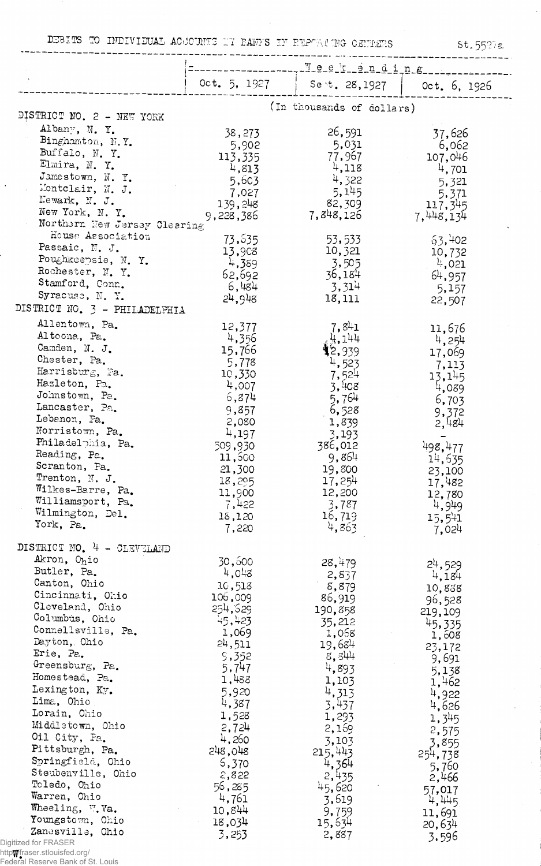DEBITS TO INDIVIDUAL ACCOUNTS IT PANYS IN REPORTING CENTERS

 $St.55278$ 

|                                     | ~ ~ ~ _ _ _ _ _ _    |                                 |                        |
|-------------------------------------|----------------------|---------------------------------|------------------------|
|                                     | Oct. 5, 1927         | . We ekonoming<br>Sent. 28,1927 | Oct. 6, 1926           |
|                                     |                      |                                 |                        |
| DISTRICT NO. 2 - NEW YORK           |                      | (In thousands of dollars)       |                        |
| Albany, N. Y.                       | 38,273               | 26,591                          | 37,626                 |
| Binghamton, N.Y.                    | 5,902                | 5,031                           | 6,062                  |
| Buffalo, N.Y.                       | 113,335              | 77,967                          | 107,046                |
| Elmira, N.Y.<br>Jamestown, N.Y.     | $-4,813$             | 4,118                           | 4,701                  |
| Montclair, N. J.                    | 5,603                | 4,322                           | 5,321                  |
| Newark, N. J.                       | 7,027                | 5,145                           | 5,371                  |
| New York, N.Y.                      | 139,248<br>9,228,386 | 82,309<br>7,848,126             | 117,345<br>7,448,134   |
| Northern New Jersey Clearing        |                      |                                 |                        |
| House Association                   | 73,535               | 53,533                          | 63,402                 |
| Passaic, N. J.                      | 13,908               | 10,321                          | 10,732                 |
| Poughkeepsie, N.Y.                  | 4,389                | 3,505                           | 4,021                  |
| Rochester, N.Y.                     | 62,692               | 36,184                          | 64,957                 |
| Stamford, Conn.<br>Syracuse, N.Y.   | 6,484                | 3,314                           | 5,157                  |
|                                     | 24,948               | 18,111                          | 22,507                 |
| DISTRICT NO. 3 - PHILADELPHIA       |                      |                                 |                        |
| Allentown, Pa.                      | 12,377               | 7,841                           | 11,676                 |
| Altoona, Pa.<br>Camden, N. J.       | 4,356                | 4,144                           | 4,254                  |
| Chester, Pa.                        | 15,766               | 12,939                          | 17,069                 |
| Harrisburg, Pa.                     | 5,778<br>10,330      | 4,523                           | 7,113                  |
| Hazleton, Pa.                       | 4,007                | 7,524<br>3,408                  | 13,145                 |
| Johnstown, Pa.                      | 6,874                | 5,764                           | 4,089<br>6,703         |
| Lancaster, Pa.                      | 9,857                | 6,528                           | 9,372                  |
| Lebanon, Pa.                        | 2,080                | 1,839                           | 2,484                  |
| Norristown, Pa.                     | 4,197                | 3,193                           |                        |
| Philadelphia, Pa.                   | 509,930              | 386,012                         | 498,477                |
| Reading, Pa.                        | 11,500               | 9,864                           | 14,635                 |
| Scranton, Pa.<br>Trenton, N. J.     | 21,300               | 19,800                          | 23,100                 |
| Wilkes-Barre, Pa.                   | 18,295               | 17,254                          | 17,482                 |
| Williamsport, Pa.                   | 11,900<br>7,422      | 12,200<br>3,787                 | 12,780                 |
| Wilmington, Del.                    | 18,120               | 16,719                          | 4,949<br>15,541        |
| York, Pa.                           | 7,220                | 4,863                           | 7,024                  |
| DISTRICT NO. 4 - CLEVELAND          |                      |                                 |                        |
| Akron, Ohio                         | 30,500               | 28,479                          |                        |
| Butler, Pa.                         | 4,048                | 2,837                           | $2^{1}$ , 529<br>4,184 |
| Canton, Ohio                        | 10,513               | 8,879                           | 10,838                 |
| Cincinnati, Ohio                    | 106,009              | 86,919                          | 96,528                 |
| Cleveland, Ohio                     | 254,529              | 190,858                         | 219,109                |
| Columbus, Ohio                      | 45,423               | 35,212                          | 45,335                 |
| Connellsville, Pa.                  | 1,069                | 1,068                           | 1,608                  |
| Dayton, Ohio<br>Erie, Pa.           | 24,511               | 19,684                          | 23,172                 |
| Greensburg, Pa.                     | 9,352                | 8,344                           | 9,691                  |
| Homestead, Pa.                      | 5,747<br>1,488       | 4,893                           | 5,138                  |
| Lexington, Ky.                      | 5,920                | 1,103<br>4,313                  | 1,462                  |
| Lima, Ohio                          | 4,387                | 3,437                           | 4,922                  |
| Lorain, Ohio                        | 1,528                | 1,293                           | 4,626                  |
| Middletown, Ohio                    | 2,724                | 2,169                           | 1,345<br>2,575         |
| Oil City, Pa.                       | 4,260                | 3,103                           | 3,855                  |
| Pittsburgh, Pa.                     | 248,048              | 215,443                         | 254,738                |
| Springfield, Ohio                   | 5,370                | 4,364                           | 5,760                  |
| Steubenville, Ohio                  | 2,822                | 2,435                           | 2,466                  |
| Toledo, Ohio                        | 56,285               | 45,620                          | 57,017                 |
| Warren, Ohio                        | 4,761                | 3,619                           | 4,445                  |
| Wheeling, W.Va.<br>Youngstown, Ohio | 10,844               | 9,759                           | 11,691                 |
| Zanesville, Ohio                    | 18,034               | 15,634                          | 20,634                 |
| Digitized for FRASER                | 3,253                | 2,887                           | 3,596                  |
| http@fraser.stlouisfed.org/         |                      |                                 |                        |
| Federal Reserve Bank of St. Louis   |                      |                                 |                        |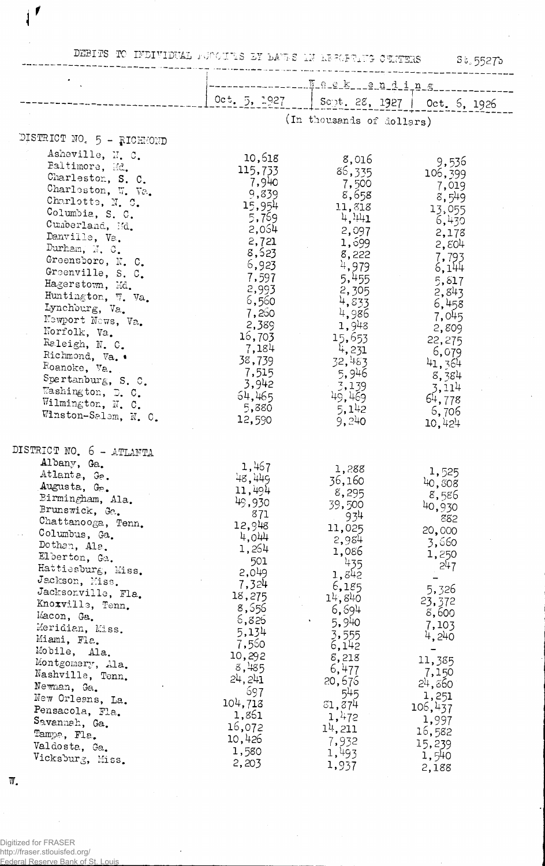DEBITS TO INDIVIDUAL FUOCULE EX DALES IN RESCRIPTS CULTERS 55275

|                                                                                                                                                                                                                                                                                                                                                                                                                                                                                                                         | where the matrix $\tau$ and $\tau$ and $\tau$ and $\tau$ and $\tau$ and $\tau$<br>35.55275                                                                                                                                                   |                                                                                                                                                                                                                                             |                                                                                                                                                                                                                             |  |  |
|-------------------------------------------------------------------------------------------------------------------------------------------------------------------------------------------------------------------------------------------------------------------------------------------------------------------------------------------------------------------------------------------------------------------------------------------------------------------------------------------------------------------------|----------------------------------------------------------------------------------------------------------------------------------------------------------------------------------------------------------------------------------------------|---------------------------------------------------------------------------------------------------------------------------------------------------------------------------------------------------------------------------------------------|-----------------------------------------------------------------------------------------------------------------------------------------------------------------------------------------------------------------------------|--|--|
|                                                                                                                                                                                                                                                                                                                                                                                                                                                                                                                         | <u>. Jeek ending</u>                                                                                                                                                                                                                         |                                                                                                                                                                                                                                             |                                                                                                                                                                                                                             |  |  |
|                                                                                                                                                                                                                                                                                                                                                                                                                                                                                                                         | $0c$ t. 5, 1927                                                                                                                                                                                                                              | Sept. 28, 1927   Oct. 5, 1926                                                                                                                                                                                                               |                                                                                                                                                                                                                             |  |  |
|                                                                                                                                                                                                                                                                                                                                                                                                                                                                                                                         | (In thousands of dollars)                                                                                                                                                                                                                    |                                                                                                                                                                                                                                             |                                                                                                                                                                                                                             |  |  |
| DISTRICT NO. 5 - RICHMOND                                                                                                                                                                                                                                                                                                                                                                                                                                                                                               |                                                                                                                                                                                                                                              |                                                                                                                                                                                                                                             |                                                                                                                                                                                                                             |  |  |
| Asheville, N. C.<br>Baltimore, Md.<br>Charleston, S. C.<br>Charleston, W. Va.<br>Charlotte, N. C.<br>Columbia, S. C.<br>Cumberland, Md.<br>Danville, Va.<br>Durham, $N$ , $0$ .<br>Greensboro, N. C.<br>Greenville, S. C.<br>Hagerstown, Md.<br>Huntington, W. Va.<br>Lynchburg, Va.<br>Newport News, Va.<br>Norfolk, Va.<br>Raleigh, N. C.<br>Richmond, Va. .<br>Roanoke, Va.<br>Spartanburg, S. C.<br>Washington, D. C.<br>Wilmington, N. C.<br>Winston-Salem, N. C.                                                  | 10,618<br>115,733<br>7,940<br>9,839<br>15,954<br>5,769<br>2,054<br>2,721<br>8,523<br>6,923<br>7,597<br>2,993<br>6,560<br>7,260<br>2,389<br>16,703<br>7,184<br>38,739<br>7,515<br>3,942<br>64,465<br>5,880<br>12,590                          | 8,016<br>86,335<br>7,500<br>8,658<br>11,818<br>4,441<br>2,097<br>1,699<br>8,222<br>4,979<br>5,455<br>2,305<br>4,833<br>4,986<br>1,948<br>15,653<br>4,231<br>32,483<br>5,946<br>3,139<br>49,469<br>5,142<br>9,240                            | 9,536<br>106,399<br>7,019<br>8,549<br>13,055<br>6,430<br>2,178<br>2,804<br>7,793<br>6,144<br>5,817<br>2,843<br>6,458<br>7,045<br>2,809<br>22,275<br>6,079<br>41, 364<br>8,384<br>3,114<br>64,778<br>6,706<br>10,424         |  |  |
| DISTRICT NO. 6 - ATLANTA<br>Albany, Ga.<br>Atlanta, Ge.<br>Augusta, G <sub>2</sub> .<br>Birmingham, Ala.<br>Brunswick, Ge.<br>Chattanooga, Tenn.<br>Columbus, Ga.<br>Dothan, Ala.<br>Elberton, Ga.<br>Hattiesburg, Miss.<br>Jackson, Miss.<br>Jacksonville, Fla.<br>Knoxville, Tenn.<br>Macon, Ga.<br>Meridian, Miss.<br>Miami, Fla.<br>Mobile, Ala.<br>Montgomery, Ala.<br>Nashville, Tenn.<br>Newman, Ga.<br>New Orleans, La.<br>Pensacola, Fla.<br>Savannah, Ga.<br>Tampa, Fla.<br>Valdosta, Ga.<br>Vicksburg, Miss. | 1,467<br>48,449<br>11,494<br>49,930<br>871<br>12,948<br>4,044<br>1,264<br>501<br>2,049<br>7,324<br>18,275<br>8,556<br>6,826<br>5,134<br>7,560<br>10,292<br>8,485<br>24, 241<br>697<br>104,713<br>1,861<br>16,072<br>10,426<br>1,580<br>2,203 | 1,288<br>36,160<br>8,295<br>39,500<br>934<br>11,025<br>2,984<br>1,086<br>435<br>1,842<br>6,185<br>14,840<br>6,694<br>5,940<br>3,555<br>6,142<br>8,218<br>6,477<br>20,675<br>545<br>31,374<br>1,472<br>$11$ , 211<br>7,932<br>1,493<br>1,937 | 1,525<br>40,808<br>8,586<br>40,930<br>882<br>20,000<br>3,660<br>1,250<br>247<br>5,326<br>23,372<br>8,600<br>7,103<br>4,240<br>11,385<br>7,150<br>24,860<br>1,251<br>106, 437<br>1,997<br>16,582<br>15,239<br>1,540<br>2,188 |  |  |

 $\sim$ 

 $\mathcal{L}$ 

 $W_{\bullet}$ 

 $\mathbf{I}^{\prime}$ 

Digitized for FRASER<br>http://fraser.stlouisfed.org/<br>Eederal Reserve Bank of St. Louis

 $\bar{\mathcal{A}}$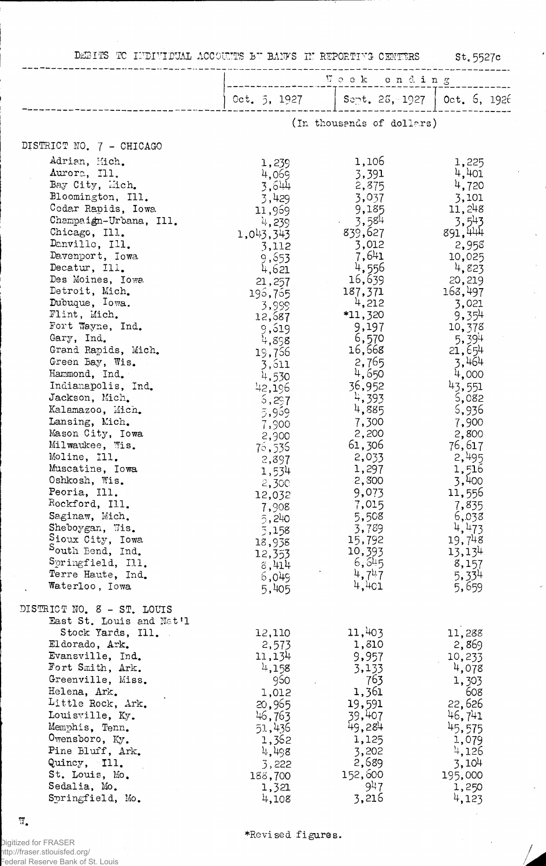DEBITS TO INDIVIDUAL ACCOUNTS BU BANKS IN REPORTING CENTERS

 $St.5527c$ 

 $\frac{1}{2}$ 

 $\hat{\mathcal{L}}$ 

 $\frac{1}{\sqrt{2}}$ 

 $\mathcal{L}_{\mathcal{A}}$ 

 $\overline{a}$ 

|                                                                                                                                                                                                                                                                                                                                                                                                                                                                                                                                                                                                                                                                                                     | Vock ending                                                                                                                                                                                                                                                                                                                                     |                                                                                                                                                                                                                                                                                                                                               |                                                                                                                                                                                                                                                                                                                                                |
|-----------------------------------------------------------------------------------------------------------------------------------------------------------------------------------------------------------------------------------------------------------------------------------------------------------------------------------------------------------------------------------------------------------------------------------------------------------------------------------------------------------------------------------------------------------------------------------------------------------------------------------------------------------------------------------------------------|-------------------------------------------------------------------------------------------------------------------------------------------------------------------------------------------------------------------------------------------------------------------------------------------------------------------------------------------------|-----------------------------------------------------------------------------------------------------------------------------------------------------------------------------------------------------------------------------------------------------------------------------------------------------------------------------------------------|------------------------------------------------------------------------------------------------------------------------------------------------------------------------------------------------------------------------------------------------------------------------------------------------------------------------------------------------|
|                                                                                                                                                                                                                                                                                                                                                                                                                                                                                                                                                                                                                                                                                                     | Oct. 5, 1927                                                                                                                                                                                                                                                                                                                                    | $S$ ent. 2 $S$ , 1927                                                                                                                                                                                                                                                                                                                         | Oct. 6, 1926                                                                                                                                                                                                                                                                                                                                   |
|                                                                                                                                                                                                                                                                                                                                                                                                                                                                                                                                                                                                                                                                                                     | (In thousends of dollars)                                                                                                                                                                                                                                                                                                                       |                                                                                                                                                                                                                                                                                                                                               |                                                                                                                                                                                                                                                                                                                                                |
| DISTRICT NO. 7 - CHICAGO                                                                                                                                                                                                                                                                                                                                                                                                                                                                                                                                                                                                                                                                            |                                                                                                                                                                                                                                                                                                                                                 |                                                                                                                                                                                                                                                                                                                                               |                                                                                                                                                                                                                                                                                                                                                |
| Adrian, Mich.<br>Aurora, Ill.<br>Bay City, Mich.<br>Bloomington, Ill.<br>Codar Rapids, Iowa<br>Champaign-Urbana, Ill.<br>Chicago, Ill.<br>Danvillo, Ill.<br>Davenport, Iowa<br>Decatur, Ill.<br>Des Moines, Iowa<br>Detroit, Mich.<br>Dubuque, Iowa.<br>Flint, Mich.<br>Fort Wayne, Ind.<br>Gary, Ind.<br>Grand Rapids, Mich.<br>Green Bay, Wis.<br>Hammond, Ind.<br>Indianapolis, Ind.<br>Jackson, Mich.<br>Kalamazoo, Mich.<br>Lansing, Mich.<br>Mason City, Iowa<br>Milwaukee, Wis.<br>Moline, Ill.<br>Muscatine, Iowa<br>Oshkosh, Wis.<br>Peoria, Ill.<br>Rockford, Ill.<br>Saginaw, Mich.<br>Sheboygan, Wis.<br>Sioux City, Iowa<br>South Bend, Ind.<br>Springfield, Ill.<br>Terre Haute, Ind. | 1,239<br>4,069<br>3,644<br>3,429<br>11,969<br>4,239<br>1,043,343<br>3,112<br>9,653<br>4,621<br>21,257<br>196,765<br>3,999<br>12,687<br>9,519<br>4,898<br>19,756<br>3,611<br>4,530<br>42,196<br>5,297<br>5,959<br>7,900<br>2,900<br>75,535<br>2,897<br>1,534<br>2,300<br>12,032<br>7,908<br>5,240<br>5,158<br>18,938<br>12,353<br>8,414<br>6,049 | 1,106<br>3,391<br>2,875<br>3,037<br>9,185<br>3,584<br>839,627<br>3,012<br>7,641<br>4,556<br>16,639<br>187,371<br>4,212<br>*11,320<br>9,197<br>6,570<br>16,568<br>2,765<br>4,650<br>36,952<br>4,393<br>4,885<br>7,300<br>2,200<br>61,306<br>2,033<br>1,297<br>2,300<br>9,073<br>7,015<br>5,508<br>3,789<br>15,792<br>10,393<br>6, 645<br>4,747 | 1,225<br>4,401<br>4,720<br>3,101<br>11,248<br>3,543<br>891,444<br>2,958<br>10,025<br>4,823<br>20,219<br>168,497<br>3,021<br>9,354<br>10,378<br>5,394<br>21,654<br>3,464<br>4,000<br>43,551<br>5,082<br>5,936<br>7,900<br>2,800<br>76,617<br>2,495<br>1,516<br>3,400<br>11,556<br>7,835<br>6,038<br>4,473<br>19,748<br>13,134<br>8,157<br>5,334 |
| Waterloo, Iowa                                                                                                                                                                                                                                                                                                                                                                                                                                                                                                                                                                                                                                                                                      | 5,405                                                                                                                                                                                                                                                                                                                                           | 4,4c1                                                                                                                                                                                                                                                                                                                                         | 5,659                                                                                                                                                                                                                                                                                                                                          |
| DISTRICT NO. 8 - ST. LOUIS<br>East St. Louis and Nat'l<br>Stock Yards, Ill.<br>Eldorado, Ark.<br>Evansville, Ind.<br>Fort Smith, Ark.<br>Greenville, Miss.<br>Helena, Ark.<br>Little Rock, Ark.<br>Louisville, Ky.<br>Memphis, Tenn.<br>Owensboro, Ky.<br>Pine Bluff, Ark.<br>Quincy, Ill.<br>St. Louis, Mo.<br>Sedalia, Mo.<br>Springfield, Mo.                                                                                                                                                                                                                                                                                                                                                    | 12,110<br>2,573<br>11,134<br>4,158<br>960<br>1,012<br>20,965<br>46,763<br>51,436<br>1,362<br>4,498<br>3,222<br>188,700<br>1,321<br>4,108                                                                                                                                                                                                        | 11,403<br>1,810<br>9,957<br>3,133<br>763<br>1,361<br>19,591<br>39,407<br>49,284<br>1,125<br>3,202<br>2,689<br>152,600<br>947<br>3,216                                                                                                                                                                                                         | 11,288<br>2,869<br>10,233<br>4,078<br>1,303<br>608<br>22,626<br>46,741<br>45,575<br>1,079<br>4,126<br>3,104<br>195,000<br>1,250<br>4,123                                                                                                                                                                                                       |

 $\mathbb{W}_\bullet$ 

,<br>Digitized for FRASER<br>http://fraser.stlouisfed.org/<br>Federal Reserve Bank of St. Louis

\*Revised figures.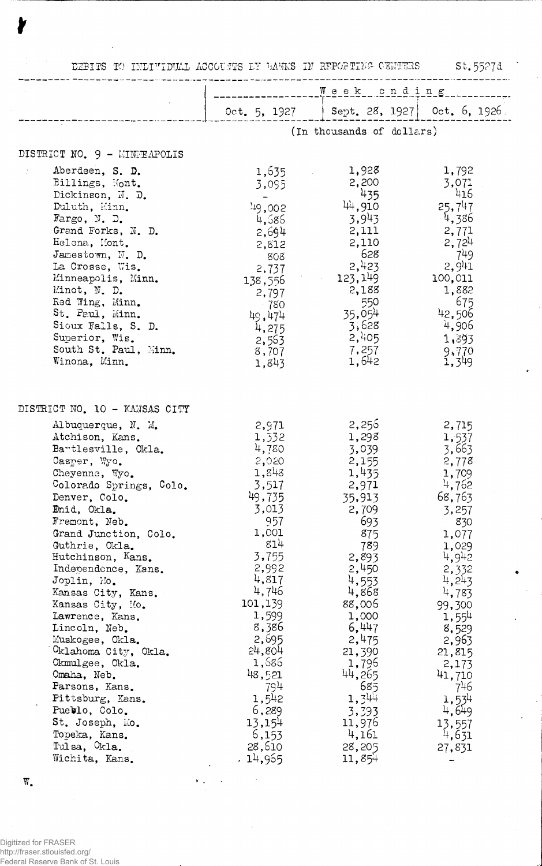| 5t.5527d<br>DEBITS TO INDIVIDUAL ACCOUNTS BY BANKS IN REPORTING CENTERS                                                                                                                                                                                                                                                                                                                                                                                                                                                                                                  |                                                                                                                                                                                                                                                                      |                                                                                                                                                                                                                                                                       |                                                                                                                                                                                                                                                            |  |
|--------------------------------------------------------------------------------------------------------------------------------------------------------------------------------------------------------------------------------------------------------------------------------------------------------------------------------------------------------------------------------------------------------------------------------------------------------------------------------------------------------------------------------------------------------------------------|----------------------------------------------------------------------------------------------------------------------------------------------------------------------------------------------------------------------------------------------------------------------|-----------------------------------------------------------------------------------------------------------------------------------------------------------------------------------------------------------------------------------------------------------------------|------------------------------------------------------------------------------------------------------------------------------------------------------------------------------------------------------------------------------------------------------------|--|
|                                                                                                                                                                                                                                                                                                                                                                                                                                                                                                                                                                          | Week ending                                                                                                                                                                                                                                                          |                                                                                                                                                                                                                                                                       |                                                                                                                                                                                                                                                            |  |
|                                                                                                                                                                                                                                                                                                                                                                                                                                                                                                                                                                          |                                                                                                                                                                                                                                                                      | Oct. 5, 1927   Sept. 28, 1927   Oct. 6, 1926.                                                                                                                                                                                                                         |                                                                                                                                                                                                                                                            |  |
|                                                                                                                                                                                                                                                                                                                                                                                                                                                                                                                                                                          |                                                                                                                                                                                                                                                                      | (In thousands of dollars)                                                                                                                                                                                                                                             |                                                                                                                                                                                                                                                            |  |
| DISTRICT NO. 9 - MINEMPOLIS                                                                                                                                                                                                                                                                                                                                                                                                                                                                                                                                              |                                                                                                                                                                                                                                                                      |                                                                                                                                                                                                                                                                       |                                                                                                                                                                                                                                                            |  |
| Aberdeen, S. D.<br>Billings, Mont.<br>Dickinson, N. D.<br>Duluth, Minn.<br>Fargo, N. $D$ .<br>Grand Forks, N. D.<br>Helena, Mont.<br>Jamestown, N. D.<br>La Crosse, Wis.<br>Minneapolis, Minn.<br>Minot, N. D.<br>Red Wing, Minn.<br>St. Paul, Minn.<br>Sioux Falls, S. D.<br>Superior, Wis.<br>South St. Paul, Minn.<br>Winona, Minn.                                                                                                                                                                                                                                   | 1,635<br>3,095<br>149,002<br>4,586<br>2,694<br>2,812<br>808<br>2,737<br>138,556<br>2,797<br>- 780<br>49,474<br>4,275<br>2,563<br>8,707<br>1,843                                                                                                                      | 1,928<br>2,200<br>435<br>44,910<br>3,943<br>2,111<br>2,110<br>628<br>2,423<br>123,149<br>2,188<br>550<br>35,05 <sup>4</sup><br>3,628<br>2,405<br>7,257<br>1,642                                                                                                       | 1,792<br>3,071<br>416<br>25,747<br>4,386<br>2,771<br>2,724<br>- 749<br>2,941<br>100,011<br>1,882<br>- 675<br>42,506<br>4,906<br>1,393<br>9,770<br>1,349                                                                                                    |  |
| DISTRICT NO. 10 - KANSAS CITY                                                                                                                                                                                                                                                                                                                                                                                                                                                                                                                                            |                                                                                                                                                                                                                                                                      |                                                                                                                                                                                                                                                                       |                                                                                                                                                                                                                                                            |  |
| Albuquerque, N. M.<br>Atchison, Kans.<br>Bartlesville, Okla.<br>Casper, Wyo.<br>Cheyenne, Wyo.<br>Colorado Springs, Colo.<br>Denver, Colo.<br>Emid, Okla.<br>Fremont, Neb.<br>Grand Junction, Colo.<br>Guthrie, Okla.<br>Hutchinson, Kans.<br>Independence, Kans.<br>Joplin, Mo.<br>Kansas City, Kans.<br>Kansas City, Mo.<br>Lawrence, Kans.<br>Lincoln, Neb.<br>Muskogee, Okla.<br>Oklahoma City, Okla.<br>Okmulgee, Okla.<br>Omaha, Neb.<br>Parsons, Kans.<br>Pittsburg, Kans.<br>Pueblo, Colo.<br>St. Joseph, Mo.<br>Topeka, Kans.<br>Tulsa, Okla.<br>Wichita, Kans. | 2,971<br>1,332<br>4,780<br>2,020<br>1,848<br>3,517<br>49,735<br>3,013<br>957<br>1,001<br>814<br>3,755<br>2,992<br>4,817<br>4,746<br>101,139<br>1,599<br>8,386<br>2,695<br>24,804<br>1,686<br>48,521<br>794<br>1,542<br>6,289<br>13,154<br>6,153<br>28,610<br>.14,955 | 2,256<br>1,298<br>3,039<br>2,155<br>1,435<br>2,971<br>35,913<br>2,709<br>693<br>875<br>789<br>2,893<br>2,450<br>4,553<br>4,868<br>88,006<br>1,000<br>6,447<br>2,475<br>21,390<br>1,796<br>44,265<br>685<br>$1,3^{44}$<br>3,393<br>11,976<br>4,161<br>28,205<br>11,854 | 2,715<br>1,537<br>3,663<br>2,778<br>1,709<br>4,762<br>68,763<br>3,257<br>830<br>1,077<br>1,029<br>4,942<br>2,332<br>4,243<br>4,783<br>99,300<br>1,554<br>8,529<br>2,963<br>21,815<br>2,173<br>41,710<br>746<br>1,534<br>4,649<br>13,557<br>4,631<br>27,831 |  |

 $\sim$  $\mathbf{y}_{\perp, i}$ 

 $\ddot{\phantom{0}}$ 

r

W.

Digitized for FRASER http://fraser.stlouisfed.org/ Federal Reserve Bank of St. Louis